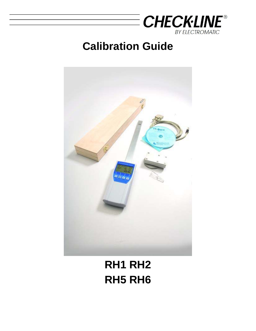

# **Calibration Guide**



# **RH1 RH2 RH5 RH6**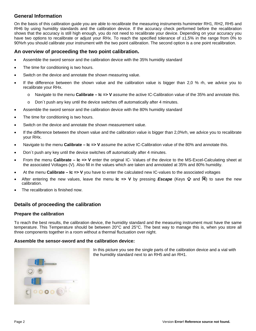# **General Information**

On the basis of this calibration guide you are able to recalibrate the measuring instruments humimeter RH1, RH2, RH5 and RH6 by using humidity standards and the calibration device. If the accuracy check performed before the recalibration shows that the accuracy is still high enough, you do not need to recalibrate your device. Depending on your accuracy you have two options to recalibrate or adjust your RHx. To reach the specified tolerance of ±1,5% in the range from 0% to 90%rh you should calibrate your instrument with the two point calibration. The second option is a one point recalibration.

# **An overview of proceeding the two point calibration.**

- Assemble the sword sensor and the calibration device with the 35% humidity standard
- The time for conditioning is two hours.
- Switch on the device and annotate the shown measuring value.
- If the difference between the shown value and the calibration value is bigger than 2,0 % rh, we advice you to recalibrate your RHx.
	- o Navigate to the menu **Calibrate Ic => V** assume the active IC-Calibration value of the 35% and annotate this.
	- $\circ$  Don't push any key until the device switches off automatically after 4 minutes.
- Assemble the sword sensor and the calibration device with the 80% humidity standard
- The time for conditioning is two hours.
- Switch on the device and annotate the shown measurement value.
- If the difference between the shown value and the calibration value is bigger than 2,0%rh, we advice you to recalibrate your RHx.
- Navigate to the menu **Calibrate Ic => V** assume the active IC-Calibration value of the 80% and annotate this.
- Don´t push any key until the device switches off automatically after 4 minutes.
- From the menu **Calibrate Ic => V** enter the original IC- Values of the device to the MS-Excel-Calculating sheet at the associated Voltages (V). Also fill in the values which are taken and annotated at 35% and 80% humidity.
- At the menu **Calibrate Ic => V** you have to enter the calculated new IC-values to the associated voltages
- After entering the new values, leave the menu **Ic => V** by pressing **Escape** (Keys **i** and  $\mathbb{F}$ ) to save the new calibration.
- The recalibration is finished now.

# **Details of proceeding the calibration**

#### **Prepare the calibration**

To reach the best results, the calibration device, the humidity standard and the measuring instrument must have the same temperature. This Temperature should be between 20°C and 25°C. The best way to manage this is, when you store all three components together in a room without a thermal fluctuation over night.

#### **Assemble the sensor-sword and the calibration device:**

In this picture you see the single parts of the calibration device and a vial with the humidity standard next to an RH5 and an RH1.

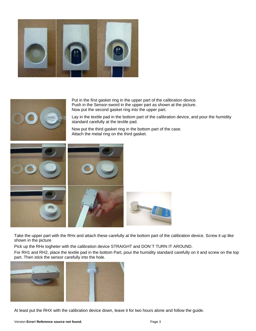



Put in the first gasket ring in the upper part of the calibration device. Push in the Sensor-sword in the upper part as shown at the picture. Now put the second gasket ring into the upper part.

Lay in the textile pad in the bottom part of the calibration device, and pour the humidity standard carefully at the textile pad.

Now put the third gasket ring in the bottom part of the case. Attach the metal ring on the third gasket.



Take the upper part with the RHx and attach these carefully at the bottom part of the calibration device. Screw it up like shown in the picture

Pick up the RHx togheter with the calibration device STRAIGHT and DON´T TURN IT AROUND.

For RH1 and RH2, place the textile pad in the bottom Part, pour the humidity standard carefully on it and screw on the top part. Then stick the sensor carefully into the hole.



At least put the RHX with the calibration device down, leave it for two hours alone and follow the guide.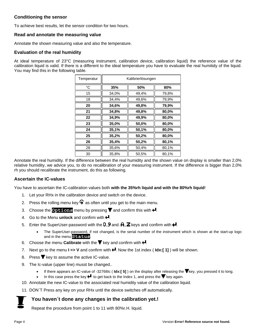## **Conditioning the sensor**

To achieve best results, let the sensor condition for two hours.

#### **Read and annotate the measuring value**

Annotate the shown measuring value and also the temperature.

#### **Evaluation of the real humidity**

At ideal temperature of 23°C (measuring instrument, calibration device, calibration liquid) the reference value of the calibration liquid is valid. If there is a different to the ideal temperature you have to evaluate the real humitidy of the liquid. You may find this in the following table.

| Temperatur  | Kalibrierlösungen |       |       |
|-------------|-------------------|-------|-------|
| $^{\circ}C$ | 35%               | 50%   | 80%   |
| 15          | 34,0%             | 49,4% | 79,8% |
| 18          | 34,4%             | 49,6% | 79,9% |
| 20          | 34,6%             | 49,8% | 79,9% |
| 21          | 34,8%             | 49,8% | 80,0% |
| 22          | 34,9%             | 49,9% | 80,0% |
| 23          | 35,0%             | 50,0% | 80,0% |
| 24          | 35,1%             | 50,1% | 80,0% |
| 25          | 35,2%             | 50,2% | 80,0% |
| 26          | 35,4%             | 50,2% | 80,1% |
| 28          | 35,6%             | 50,4% | 80,1% |
| 30          | 35,8%             | 50,5% | 80,1% |

Annotate the real humidity. If the difference between the real humidity and the shown value on display is smaller than 2,0% relative humidity, we advice you, to do no recalibration of your measuring instrument. If the difference is bigger than 2,0% rh you should recalibrate the instrument, do this as following.

### **Ascertain the IC-values**

You have to ascertain the IC-calibration values both **with the 35%rh liquid and with the 80%rh liquid**!

- 1. Let your RHx in the calibration device and switch on the device.
- 2. Press the rolling menu key  $\bigcirc$  as often until you get to the main menu.
- 3. Choose the **Options** menu by pressing  $\overline{\mathbf{r}}$  and confirm this with  $\overline{\mathbf{r}}$ .
- 4. Go to the Menu **unlock** and confirm with  $\neq$ .
- 5. Enter the SuperUser-password with the  $\mathbf{0}$ .  $\mathbf{9}$  and.  $\mathbf{A}$ .  $\mathbf{Z}$  keys and confirm with  $\mathbf{H}$ .
	- The SuperUser-password, if not changed, is the serial number of the instrument which is shown at the start-up logo and in the menu **Status**.
- 6. Choose the menu **Calibrate** with the  $\overline{\mathbf{r}}$  key and confirm with  $\overline{\mathbf{r}}$ .
- 7. Next go to the menu  $I \Rightarrow V$  and confirm with  $\biguparrow$ . Now the 1st index ( $Idx$ : [1]) will be shown.
- 8. Press  $\blacktriangledown$  key to assume the active IC-value.
- 9. The Ic-value (upper line) musst be changed..
	- If there appears an IC-value of -32768Ic (**Idx:[5]**) on the display after releasing the **V** key, you pressed it to long.
	- In this case press the key  $\blacktriangleleft$  to get back to the Index 1, and press the  $\blacktriangledown$  key again.
- 10. Annotate the new IC-value to the associated real humidity value of the calibration liquid.
- 11. DON´T Press any key on your RHx until the device switches off automatically.

### **You haven´t done any changes in the calibration yet.!**

Repeat the procedure from point 1 to 11 with 80%r.H. liquid.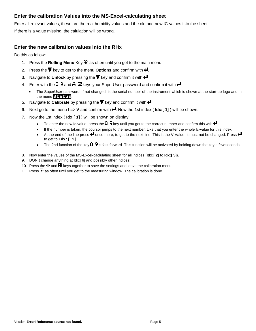# **Enter the calibration Values into the MS-Excel-calculating sheet**

Enter all relevant values, these are the real humidity values and the old and new IC-values into the sheet.

If there is a value missing, the calulation will be wrong.

# **Enter the new calibration values into the RHx**

Do this as follow:

- 1. Press the **Rolling Menu** Key  $\mathbf{\hat{P}}$  as often until you get to the main menu.
- 2. Press the  $\blacktriangledown$  key to get to the menu **Options** and confirm with  $\blacktriangleleft$ .
- 3. Navigate to Unlock by pressing the  $\blacktriangledown$  key and confirm it with  $\blacktriangleleft$ .
- 4. Enter with the  $0.9$  and  $\mathbf{A}.\mathbf{Z}$  keys your SuperUser-password and confirm it with  $\mathbf{H}$ .
	- The SuperUser-password, if not changed, is the serial number of the instrument which is shown at the start-up logo and in the menu **Status**.
- 5. Navigate to **Calibrate** by pressing the  $\blacktriangledown$  key and confirm it with  $\blacktriangleleft$ .
- 6. Next go to the menu  $I \Rightarrow V$  and confirm with  $\Box$  Now the 1st index ( $Idx$ : [1]) will be shown.
- 7. Now the 1st index ( **Idx:[ 1]** ) will be shown on display.
	- To enter the new Ic-value, press the  $0.9$  key until you get to the correct number and confirm this with  $\blacktriangleleft$ .
	- If the number is taken, the coursor jumps to the next number. Like that you enter the whole Ic-value for this Index.
	- $\bullet$  At the end of the line press  $\bullet$  once more, to get to the next line. This is the V-Value; it must not be changed. Press  $\bullet$ to get to **Idx:[ 2]**
	- The 2nd function of the key  $0.9$  is fast forward. This function will be activated by holding down the key a few seconds.
- 8. Now enter the values of the MS-Excel-caclulating sheet for all indices (**Idx:[ 2]** to **Idx:[ 5]**).
- 9. DON´t change anything at Idx:[ 6] and possibly other indices!
- 10. Press the  $\mathbf{u}$  and  $\mathbf{F}$  keys together to save the settings and leave the calibration menu.
- 11. Press  $\blacksquare$  as often until you get to the measuring window. The calibration is done.